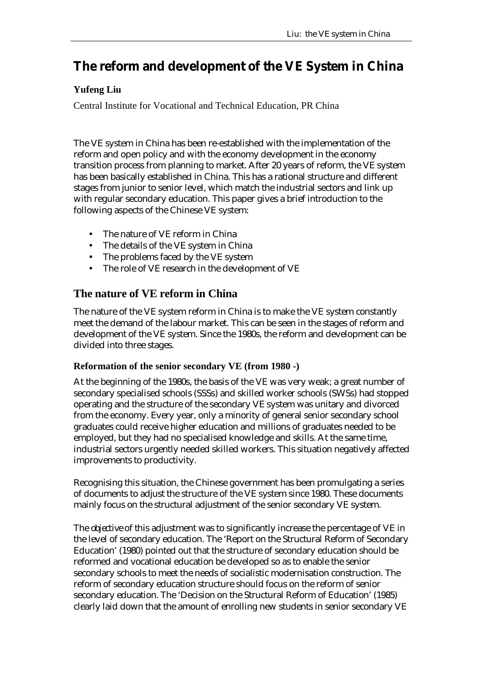# **The reform and development of the VE System in China**

### **Yufeng Liu**

Central Institute for Vocational and Technical Education, PR China

The VE system in China has been re-established with the implementation of the reform and open policy and with the economy development in the economy transition process from planning to market. After 20 years of reform, the VE system has been basically established in China. This has a rational structure and different stages from junior to senior level, which match the industrial sectors and link up with regular secondary education. This paper gives a brief introduction to the following aspects of the Chinese VE system:

- The nature of VE reform in China
- The details of the VE system in China
- The problems faced by the VE system
- The role of VE research in the development of VE

# **The nature of VE reform in China**

The nature of the VE system reform in China is to make the VE system constantly meet the demand of the labour market. This can be seen in the stages of reform and development of the VE system. Since the 1980s, the reform and development can be divided into three stages.

### **Reformation of the senior secondary VE (from 1980 -)**

At the beginning of the 1980s, the basis of the VE was very weak; a great number of secondary specialised schools (SSSs) and skilled worker schools (SWSs) had stopped operating and the structure of the secondary VE system was unitary and divorced from the economy. Every year, only a minority of general senior secondary school graduates could receive higher education and millions of graduates needed to be employed, but they had no specialised knowledge and skills. At the same time, industrial sectors urgently needed skilled workers. This situation negatively affected improvements to productivity.

Recognising this situation, the Chinese government has been promulgating a series of documents to adjust the structure of the VE system since 1980. These documents mainly focus on the structural adjustment of the senior secondary VE system.

The *objective* of this adjustment was to significantly increase the percentage of VE in the level of secondary education. The 'Report on the Structural Reform of Secondary Education' (1980) pointed out that the structure of secondary education should be reformed and vocational education be developed so as to enable the senior secondary schools to meet the needs of socialistic modernisation construction. The reform of secondary education structure should focus on the reform of senior secondary education. The 'Decision on the Structural Reform of Education' (1985) clearly laid down that the amount of enrolling new students in senior secondary VE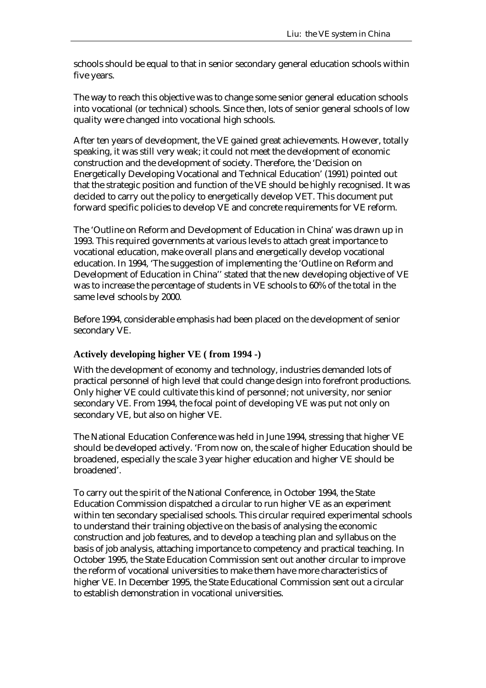schools should be equal to that in senior secondary general education schools within five years.

The *way* to reach this objective was to change some senior general education schools into vocational (or technical) schools. Since then, lots of senior general schools of low quality were changed into vocational high schools.

After ten years of development, the VE gained great achievements. However, totally speaking, it was still very weak; it could not meet the development of economic construction and the development of society. Therefore, the 'Decision on Energetically Developing Vocational and Technical Education' (1991) pointed out that the strategic position and function of the VE should be highly recognised. It was decided to carry out the policy to energetically develop VET. This document put forward specific policies to develop VE and concrete requirements for VE reform.

The 'Outline on Reform and Development of Education in China' was drawn up in 1993. This required governments at various levels to attach great importance to vocational education, make overall plans and energetically develop vocational education. In 1994, 'The suggestion of implementing the 'Outline on Reform and Development of Education in China'' stated that the new developing objective of VE was to increase the percentage of students in VE schools to 60% of the total in the same level schools by 2000.

Before 1994, considerable emphasis had been placed on the development of senior secondary VE.

### **Actively developing higher VE ( from 1994 -)**

With the development of economy and technology, industries demanded lots of practical personnel of high level that could change design into forefront productions. Only higher VE could cultivate this kind of personnel; not university, nor senior secondary VE. From 1994, the focal point of developing VE was put not only on secondary VE, but also on higher VE.

The National Education Conference was held in June 1994, stressing that higher VE should be developed actively. 'From now on, the scale of higher Education should be broadened, especially the scale 3 year higher education and higher VE should be broadened'.

To carry out the spirit of the National Conference, in October 1994, the State Education Commission dispatched a circular to run higher VE as an experiment within ten secondary specialised schools. This circular required experimental schools to understand their training objective on the basis of analysing the economic construction and job features, and to develop a teaching plan and syllabus on the basis of job analysis, attaching importance to competency and practical teaching. In October 1995, the State Education Commission sent out another circular to improve the reform of vocational universities to make them have more characteristics of higher VE. In December 1995, the State Educational Commission sent out a circular to establish demonstration in vocational universities.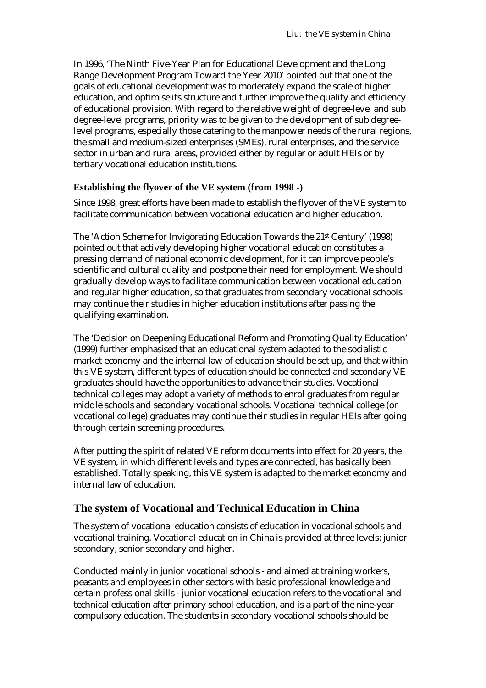In 1996, 'The Ninth Five-Year Plan for Educational Development and the Long Range Development Program Toward the Year 2010' pointed out that one of the goals of educational development was to moderately expand the scale of higher education, and optimise its structure and further improve the quality and efficiency of educational provision. With regard to the relative weight of degree-level and sub degree-level programs, priority was to be given to the development of sub degreelevel programs, especially those catering to the manpower needs of the rural regions, the small and medium-sized enterprises (SMEs), rural enterprises, and the service sector in urban and rural areas, provided either by regular or adult HEIs or by tertiary vocational education institutions.

### **Establishing the flyover of the VE system (from 1998 -)**

Since 1998, great efforts have been made to establish the flyover of the VE system to facilitate communication between vocational education and higher education.

The 'Action Scheme for Invigorating Education Towards the 21st Century' (1998) pointed out that actively developing higher vocational education constitutes a pressing demand of national economic development, for it can improve people's scientific and cultural quality and postpone their need for employment. We should gradually develop ways to facilitate communication between vocational education and regular higher education, so that graduates from secondary vocational schools may continue their studies in higher education institutions after passing the qualifying examination.

The 'Decision on Deepening Educational Reform and Promoting Quality Education' (1999) further emphasised that an educational system adapted to the socialistic market economy and the internal law of education should be set up, and that within this VE system, different types of education should be connected and secondary VE graduates should have the opportunities to advance their studies. Vocational technical colleges may adopt a variety of methods to enrol graduates from regular middle schools and secondary vocational schools. Vocational technical college (or vocational college) graduates may continue their studies in regular HEIs after going through certain screening procedures.

After putting the spirit of related VE reform documents into effect for 20 years, the VE system, in which different levels and types are connected, has basically been established. Totally speaking, this VE system is adapted to the market economy and internal law of education.

# **The system of Vocational and Technical Education in China**

The system of vocational education consists of education in vocational schools and vocational training. Vocational education in China is provided at three levels: junior secondary, senior secondary and higher.

Conducted mainly in junior vocational schools - and aimed at training workers, peasants and employees in other sectors with basic professional knowledge and certain professional skills - junior vocational education refers to the vocational and technical education after primary school education, and is a part of the nine-year compulsory education. The students in secondary vocational schools should be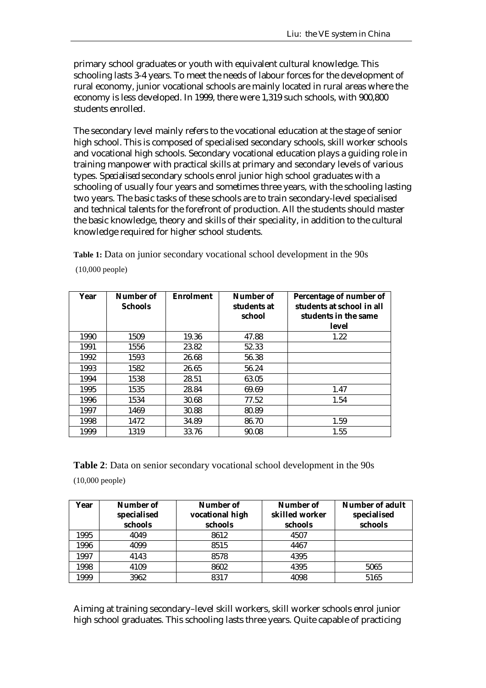primary school graduates or youth with equivalent cultural knowledge. This schooling lasts 3-4 years. To meet the needs of labour forces for the development of rural economy, junior vocational schools are mainly located in rural areas where the economy is less developed. In 1999, there were 1,319 such schools, with 900,800 students enrolled.

The secondary level mainly refers to the vocational education at the stage of senior high school. This is composed of specialised secondary schools, skill worker schools and vocational high schools. Secondary vocational education plays a guiding role in training manpower with practical skills at primary and secondary levels of various types. *Specialised* secondary schools enrol junior high school graduates with a schooling of usually four years and sometimes three years, with the schooling lasting two years. The basic tasks of these schools are to train secondary-level specialised and technical talents for the forefront of production. All the students should master the basic knowledge, theory and skills of their speciality, in addition to the cultural knowledge required for higher school students.

**Table 1:** Data on junior secondary vocational school development in the 90s (10,000 people)

| Year | Number of<br><b>Schools</b> | <b>Enrolment</b> | Number of<br>students at<br>school | Percentage of number of<br>students at school in all<br>students in the same<br>level |
|------|-----------------------------|------------------|------------------------------------|---------------------------------------------------------------------------------------|
| 1990 | 1509                        | 19.36            | 47.88                              | 1.22                                                                                  |
| 1991 | 1556                        | 23.82            | 52.33                              |                                                                                       |
| 1992 | 1593                        | 26.68            | 56.38                              |                                                                                       |
| 1993 | 1582                        | 26.65            | 56.24                              |                                                                                       |
| 1994 | 1538                        | 28.51            | 63.05                              |                                                                                       |
| 1995 | 1535                        | 28.84            | 69.69                              | 1.47                                                                                  |
| 1996 | 1534                        | 30.68            | 77.52                              | 1.54                                                                                  |
| 1997 | 1469                        | 30.88            | 80.89                              |                                                                                       |
| 1998 | 1472                        | 34.89            | 86.70                              | 1.59                                                                                  |
| 1999 | 1319                        | 33.76            | 90.08                              | 1.55                                                                                  |

**Table 2**: Data on senior secondary vocational school development in the 90s (10,000 people)

| Year | Number of<br>specialised<br>schools | Number of<br>vocational high<br>schools | Number of<br>skilled worker<br>schools | Number of adult<br>specialised<br>schools |
|------|-------------------------------------|-----------------------------------------|----------------------------------------|-------------------------------------------|
| 1995 | 4049                                | 8612                                    | 4507                                   |                                           |
| 1996 | 4099                                | 8515                                    | 4467                                   |                                           |
| 1997 | 4143                                | 8578                                    | 4395                                   |                                           |
| 1998 | 4109                                | 8602                                    | 4395                                   | 5065                                      |
| 1999 | 3962                                | 8317                                    | 4098                                   | 5165                                      |

Aiming at training secondary–level skill workers, skill worker schools enrol junior high school graduates. This schooling lasts three years. Quite capable of practicing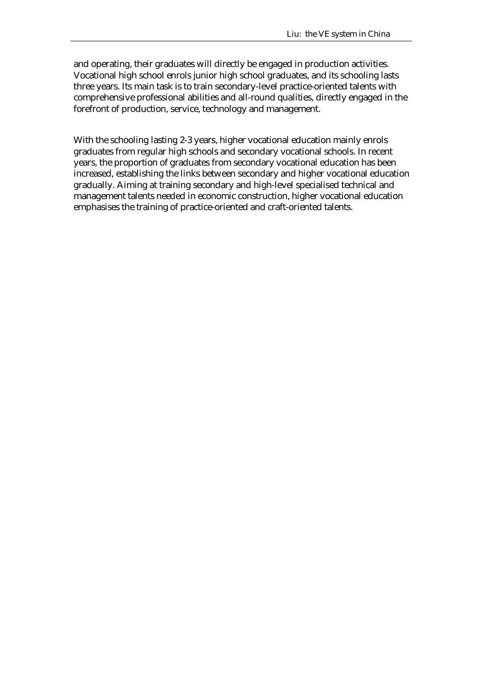and operating, their graduates will directly be engaged in production activities. Vocational high school enrols junior high school graduates, and its schooling lasts three years. Its main task is to train secondary-level practice-oriented talents with comprehensive professional abilities and all-round qualities, directly engaged in the forefront of production, service, technology and management.

With the schooling lasting 2-3 years, higher vocational education mainly enrols graduates from regular high schools and secondary vocational schools. In recent years, the proportion of graduates from secondary vocational education has been increased, establishing the links between secondary and higher vocational education gradually. Aiming at training secondary and high-level specialised technical and management talents needed in economic construction, higher vocational education emphasises the training of practice-oriented and craft-oriented talents.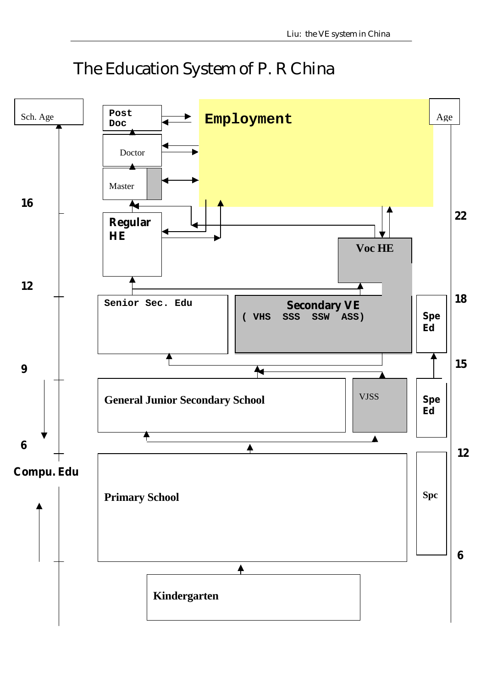# The Education System of P. R China

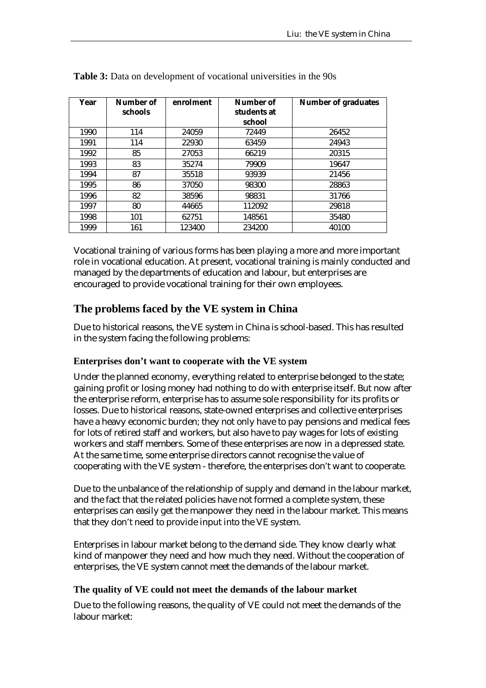| Year | Number of<br>schools | enrolment | Number of<br>students at<br>school | <b>Number of graduates</b> |
|------|----------------------|-----------|------------------------------------|----------------------------|
| 1990 | 114                  | 24059     | 72449                              | 26452                      |
| 1991 | 114                  | 22930     | 63459                              | 24943                      |
| 1992 | 85                   | 27053     | 66219                              | 20315                      |
| 1993 | 83                   | 35274     | 79909                              | 19647                      |
| 1994 | 87                   | 35518     | 93939                              | 21456                      |
| 1995 | 86                   | 37050     | 98300                              | 28863                      |
| 1996 | 82                   | 38596     | 98831                              | 31766                      |
| 1997 | 80                   | 44665     | 112092                             | 29818                      |
| 1998 | 101                  | 62751     | 148561                             | 35480                      |
| 1999 | 161                  | 123400    | 234200                             | 40100                      |

**Table 3:** Data on development of vocational universities in the 90s

Vocational training of various forms has been playing a more and more important role in vocational education. At present, vocational training is mainly conducted and managed by the departments of education and labour, but enterprises are encouraged to provide vocational training for their own employees.

# **The problems faced by the VE system in China**

Due to historical reasons, the VE system in China is school-based. This has resulted in the system facing the following problems:

### **Enterprises don't want to cooperate with the VE system**

Under the planned economy, everything related to enterprise belonged to the state; gaining profit or losing money had nothing to do with enterprise itself. But now after the enterprise reform, enterprise has to assume sole responsibility for its profits or losses. Due to historical reasons, state-owned enterprises and collective enterprises have a heavy economic burden; they not only have to pay pensions and medical fees for lots of retired staff and workers, but also have to pay wages for lots of existing workers and staff members. Some of these enterprises are now in a depressed state. At the same time, some enterprise directors cannot recognise the value of cooperating with the VE system - therefore, the enterprises don't want to cooperate.

Due to the unbalance of the relationship of supply and demand in the labour market, and the fact that the related policies have not formed a complete system, these enterprises can easily get the manpower they need in the labour market. This means that they don't need to provide input into the VE system.

Enterprises in labour market belong to the demand side. They know clearly what kind of manpower they need and how much they need. Without the cooperation of enterprises, the VE system cannot meet the demands of the labour market.

### **The quality of VE could not meet the demands of the labour market**

Due to the following reasons, the quality of VE could not meet the demands of the labour market: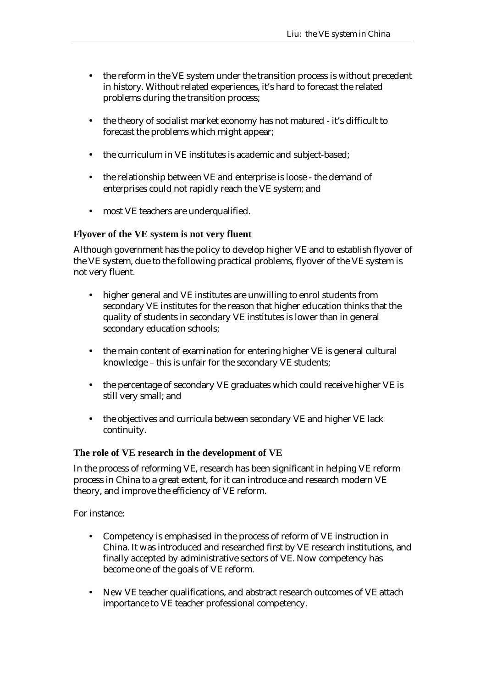- the reform in the VE system under the transition process is without precedent in history. Without related experiences, it's hard to forecast the related problems during the transition process;
- the theory of socialist market economy has not matured it's difficult to forecast the problems which might appear;
- the curriculum in VE institutes is academic and subject-based;
- the relationship between VE and enterprise is loose the demand of enterprises could not rapidly reach the VE system; and
- most VE teachers are underqualified.

### **Flyover of the VE system is not very fluent**

Although government has the policy to develop higher VE and to establish flyover of the VE system, due to the following practical problems, flyover of the VE system is not very fluent.

- higher general and VE institutes are unwilling to enrol students from secondary VE institutes for the reason that higher education thinks that the quality of students in secondary VE institutes is lower than in general secondary education schools;
- the main content of examination for entering higher VE is general cultural knowledge – this is unfair for the secondary VE students;
- the percentage of secondary VE graduates which could receive higher VE is still very small; and
- the objectives and curricula between secondary VE and higher VE lack continuity.

### **The role of VE research in the development of VE**

In the process of reforming VE, research has been significant in helping VE reform process in China to a great extent, for it can introduce and research modern VE theory, and improve the efficiency of VE reform.

For instance:

- Competency is emphasised in the process of reform of VE instruction in China. It was introduced and researched first by VE research institutions, and finally accepted by administrative sectors of VE. Now competency has become one of the goals of VE reform.
- New VE teacher qualifications, and abstract research outcomes of VE attach importance to VE teacher professional competency.